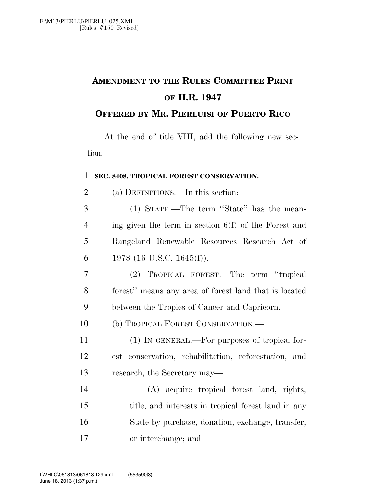## **AMENDMENT TO THE RULES COMMITTEE PRINT OF H.R. 1947**

## **OFFERED BY MR. PIERLUISI OF PUERTO RICO**

At the end of title VIII, add the following new section:

## 1 **SEC. 8408. TROPICAL FOREST CONSERVATION.**

2 (a) DEFINITIONS.—In this section:

 (1) STATE.—The term ''State'' has the mean- ing given the term in section 6(f) of the Forest and Rangeland Renewable Resources Research Act of 6 1978 (16 U.S.C. 1645(f)).

7 (2) TROPICAL FOREST.—The term ''tropical 8 forest'' means any area of forest land that is located 9 between the Tropics of Cancer and Capricorn.

10 (b) TROPICAL FOREST CONSERVATION.—

11 (1) IN GENERAL.—For purposes of tropical for-12 est conservation, rehabilitation, reforestation, and 13 research, the Secretary may—

 (A) acquire tropical forest land, rights, 15 title, and interests in tropical forest land in any State by purchase, donation, exchange, transfer, or interchange; and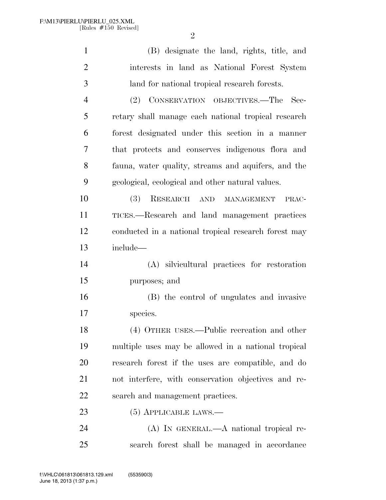| $\mathbf{1}$   | (B) designate the land, rights, title, and           |
|----------------|------------------------------------------------------|
| $\overline{2}$ | interests in land as National Forest System          |
| 3              | land for national tropical research forests.         |
| $\overline{4}$ | (2) CONSERVATION OBJECTIVES.—The<br>- Sec-           |
| 5              | retary shall manage each national tropical research  |
| 6              | forest designated under this section in a manner     |
| 7              | that protects and conserves indigenous flora and     |
| 8              | fauna, water quality, streams and aquifers, and the  |
| 9              | geological, ecological and other natural values.     |
| 10             | (3)<br>RESEARCH AND MANAGEMENT<br>PRAC-              |
| 11             | TICES.-Research and land management practices        |
| 12             | conducted in a national tropical research forest may |
| 13             | include-                                             |
| 14             | (A) silvicultural practices for restoration          |
| 15             | purposes; and                                        |
| 16             | (B) the control of ungulates and invasive            |
| 17             | species.                                             |
| 18             | (4) OTHER USES.—Public recreation and other          |
| 19             | multiple uses may be allowed in a national tropical  |
| 20             | research forest if the uses are compatible, and do   |
| 21             | not interfere, with conservation objectives and re-  |
| 22             | search and management practices.                     |
| 23             | $(5)$ APPLICABLE LAWS.—                              |
| 24             | $(A)$ IN GENERAL.— $A$ national tropical re-         |
| 25             | search forest shall be managed in accordance         |
|                |                                                      |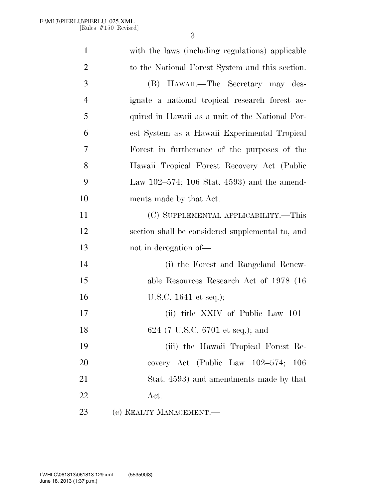| $\mathbf{1}$   | with the laws (including regulations) applicable |
|----------------|--------------------------------------------------|
| $\overline{2}$ | to the National Forest System and this section.  |
| 3              | (B) HAWAII.—The Secretary may des-               |
| 4              | ignate a national tropical research forest ac-   |
| 5              | quired in Hawaii as a unit of the National For-  |
| 6              | est System as a Hawaii Experimental Tropical     |
| 7              | Forest in furtherance of the purposes of the     |
| 8              | Hawaii Tropical Forest Recovery Act (Public      |
| 9              | Law $102-574$ ; 106 Stat. 4593) and the amend-   |
| 10             | ments made by that Act.                          |
| 11             | (C) SUPPLEMENTAL APPLICABILITY.—This             |
| 12             | section shall be considered supplemental to, and |
| 13             | not in derogation of—                            |
| 14             | (i) the Forest and Rangeland Renew-              |
| 15             | able Resources Research Act of 1978 (16)         |
| 16             | U.S.C. $1641$ et seq.);                          |
| 17             | (ii) title XXIV of Public Law 101–               |
| 18             | 624 (7 U.S.C. 6701 et seq.); and                 |
| 19             | (iii) the Hawaii Tropical Forest Re-             |
| 20             | covery Act (Public Law 102–574; 106              |
| 21             | Stat. 4593) and amendments made by that          |
| 22             | Act.                                             |
| 23             | (c) REALTY MANAGEMENT.—                          |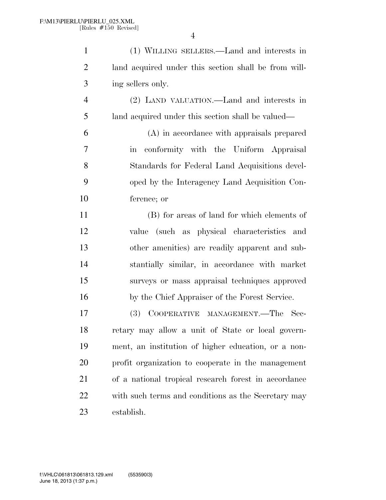| $\mathbf{1}$   | (1) WILLING SELLERS.—Land and interests in                      |
|----------------|-----------------------------------------------------------------|
| $\overline{2}$ | land acquired under this section shall be from will-            |
| 3              | ing sellers only.                                               |
| $\overline{4}$ | (2) LAND VALUATION.—Land and interests in                       |
| 5              | land acquired under this section shall be valued—               |
| 6              | (A) in accordance with appraisals prepared                      |
| 7              | conformity with the Uniform Appraisal<br>$\overline{\text{in}}$ |
| 8              | Standards for Federal Land Acquisitions devel-                  |
| 9              | oped by the Interagency Land Acquisition Con-                   |
| 10             | ference; or                                                     |
| 11             | (B) for areas of land for which elements of                     |
| 12             | value (such as physical characteristics and                     |
| 13             | other amenities) are readily apparent and sub-                  |
| 14             | stantially similar, in accordance with market                   |
| 15             | surveys or mass appraisal techniques approved                   |
| 16             | by the Chief Appraiser of the Forest Service.                   |
| 17             | COOPERATIVE MANAGEMENT.—The<br><b>(3)</b><br>Sec-               |
| 18             | retary may allow a unit of State or local govern-               |
| 19             | ment, an institution of higher education, or a non-             |
| 20             | profit organization to cooperate in the management              |
| 21             | of a national tropical research forest in accordance            |
| 22             | with such terms and conditions as the Secretary may             |
| 23             | establish.                                                      |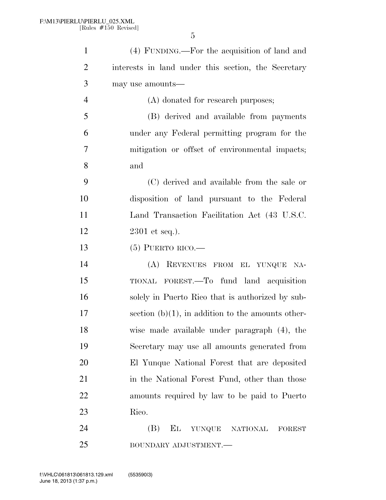| $\mathbf{1}$   | (4) FUNDING.—For the acquisition of land and               |
|----------------|------------------------------------------------------------|
| $\overline{2}$ | interests in land under this section, the Secretary        |
| 3              | may use amounts—                                           |
| $\overline{4}$ | (A) donated for research purposes;                         |
| 5              | (B) derived and available from payments                    |
| 6              | under any Federal permitting program for the               |
| 7              | mitigation or offset of environmental impacts;             |
| 8              | and                                                        |
| 9              | (C) derived and available from the sale or                 |
| 10             | disposition of land pursuant to the Federal                |
| 11             | Land Transaction Facilitation Act (43 U.S.C.               |
| 12             | $2301$ et seq.).                                           |
| 13             | $(5)$ PUERTO RICO.—                                        |
| 14             | (A)<br>REVENUES FROM EL YUNQUE NA-                         |
| 15             | TIONAL FOREST.—To fund land acquisition                    |
| 16             | solely in Puerto Rico that is authorized by sub-           |
| 17             | section $(b)(1)$ , in addition to the amounts other-       |
| 18             | wise made available under paragraph (4), the               |
| 19             | Secretary may use all amounts generated from               |
| 20             | El Yunque National Forest that are deposited               |
| 21             | in the National Forest Fund, other than those              |
| 22             | amounts required by law to be paid to Puerto               |
| 23             | Rico.                                                      |
| 24             | (B)<br>$\mathbf{E}$<br>YUNQUE<br>NATIONAL<br><b>FOREST</b> |
|                |                                                            |

BOUNDARY ADJUSTMENT.—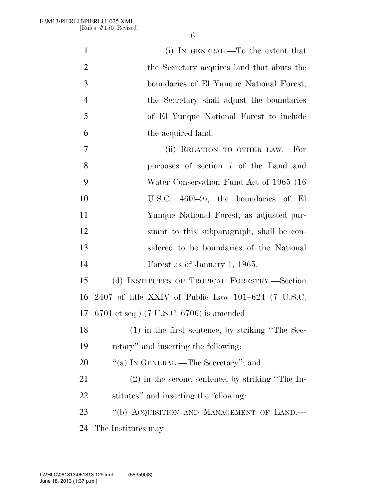| $\mathbf{1}$   | (i) IN GENERAL.—To the extent that                     |
|----------------|--------------------------------------------------------|
| $\overline{2}$ | the Secretary acquires land that abuts the             |
| 3              | boundaries of El Yunque National Forest,               |
| $\overline{4}$ | the Secretary shall adjust the boundaries              |
| 5              | of El Yunque National Forest to include                |
| 6              | the acquired land.                                     |
| $\overline{7}$ | (ii) RELATION TO OTHER LAW.-For                        |
| 8              | purposes of section 7 of the Land and                  |
| 9              | Water Conservation Fund Act of 1965 (16                |
| 10             | U.S.C. $460l-9$ , the boundaries of El                 |
| 11             | Yunque National Forest, as adjusted pur-               |
| 12             | suant to this subparagraph, shall be con-              |
| 13             | sidered to be boundaries of the National               |
| 14             | Forest as of January 1, 1965.                          |
| 15             | (d) INSTITUTES OF TROPICAL FORESTRY.—Section           |
| 16             | $2407$ of title XXIV of Public Law $101-624$ (7 U.S.C. |
| 17             | 6701 et seq.) (7 U.S.C. 6706) is amended—              |
| 18             | $(1)$ in the first sentence, by striking "The Sec-     |
| 19             | retary" and inserting the following:                   |
| 20             | "(a) IN GENERAL.—The Secretary"; and                   |
| 21             | $(2)$ in the second sentence, by striking "The In-     |
| 22             | stitutes" and inserting the following:                 |
| 23             | "(b) ACQUISITION AND MANAGEMENT OF LAND.-              |
| 24             | The Institutes may—                                    |